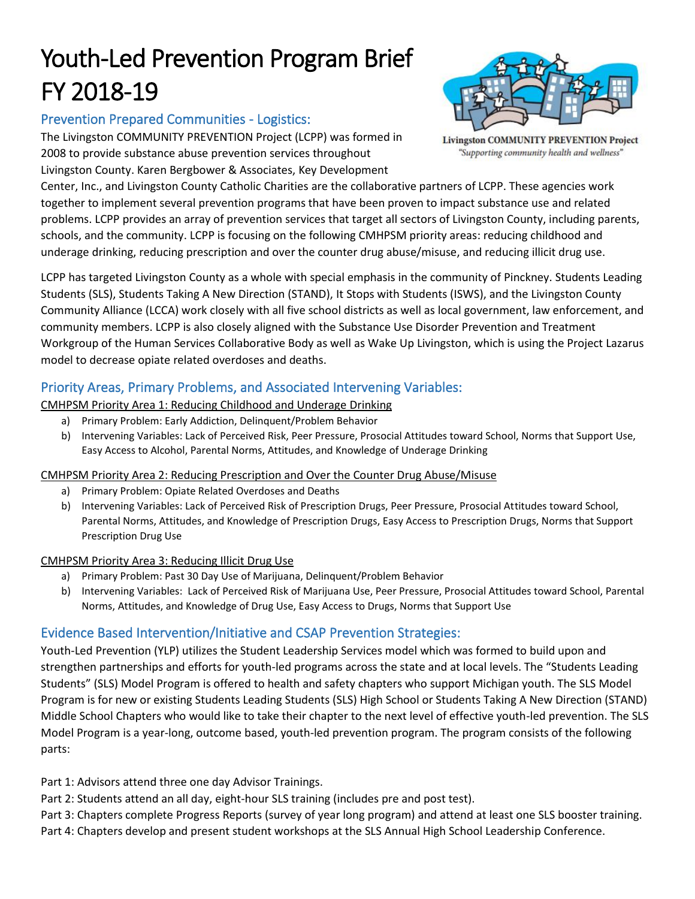# Youth-Led Prevention Program Brief FY 2018-19

# Prevention Prepared Communities - Logistics:

The Livingston COMMUNITY PREVENTION Project (LCPP) was formed in 2008 to provide substance abuse prevention services throughout Livingston County. Karen Bergbower & Associates, Key Development

**Livingston COMMUNITY PREVENTION Project** "Supporting community health and wellness"

Center, Inc., and Livingston County Catholic Charities are the collaborative partners of LCPP. These agencies work together to implement several prevention programs that have been proven to impact substance use and related problems. LCPP provides an array of prevention services that target all sectors of Livingston County, including parents, schools, and the community. LCPP is focusing on the following CMHPSM priority areas: reducing childhood and underage drinking, reducing prescription and over the counter drug abuse/misuse, and reducing illicit drug use.

LCPP has targeted Livingston County as a whole with special emphasis in the community of Pinckney. Students Leading Students (SLS), Students Taking A New Direction (STAND), It Stops with Students (ISWS), and the Livingston County Community Alliance (LCCA) work closely with all five school districts as well as local government, law enforcement, and community members. LCPP is also closely aligned with the Substance Use Disorder Prevention and Treatment Workgroup of the Human Services Collaborative Body as well as Wake Up Livingston, which is using the Project Lazarus model to decrease opiate related overdoses and deaths.

# Priority Areas, Primary Problems, and Associated Intervening Variables:

CMHPSM Priority Area 1: Reducing Childhood and Underage Drinking

- a) Primary Problem: Early Addiction, Delinquent/Problem Behavior
- b) Intervening Variables: Lack of Perceived Risk, Peer Pressure, Prosocial Attitudes toward School, Norms that Support Use, Easy Access to Alcohol, Parental Norms, Attitudes, and Knowledge of Underage Drinking

### CMHPSM Priority Area 2: Reducing Prescription and Over the Counter Drug Abuse/Misuse

- a) Primary Problem: Opiate Related Overdoses and Deaths
- b) Intervening Variables: Lack of Perceived Risk of Prescription Drugs, Peer Pressure, Prosocial Attitudes toward School, Parental Norms, Attitudes, and Knowledge of Prescription Drugs, Easy Access to Prescription Drugs, Norms that Support Prescription Drug Use

### CMHPSM Priority Area 3: Reducing Illicit Drug Use

- a) Primary Problem: Past 30 Day Use of Marijuana, Delinquent/Problem Behavior
- b) Intervening Variables: Lack of Perceived Risk of Marijuana Use, Peer Pressure, Prosocial Attitudes toward School, Parental Norms, Attitudes, and Knowledge of Drug Use, Easy Access to Drugs, Norms that Support Use

# Evidence Based Intervention/Initiative and CSAP Prevention Strategies:

Youth-Led Prevention (YLP) utilizes the Student Leadership Services model which was formed to build upon and strengthen partnerships and efforts for youth-led programs across the state and at local levels. The "Students Leading Students" (SLS) Model Program is offered to health and safety chapters who support Michigan youth. The SLS Model Program is for new or existing Students Leading Students (SLS) High School or Students Taking A New Direction (STAND) Middle School Chapters who would like to take their chapter to the next level of effective youth-led prevention. The SLS Model Program is a year-long, outcome based, youth-led prevention program. The program consists of the following parts:

Part 1: Advisors attend three one day Advisor Trainings.

Part 2: Students attend an all day, eight-hour SLS training (includes pre and post test).

Part 3: Chapters complete Progress Reports (survey of year long program) and attend at least one SLS booster training. Part 4: Chapters develop and present student workshops at the SLS Annual High School Leadership Conference.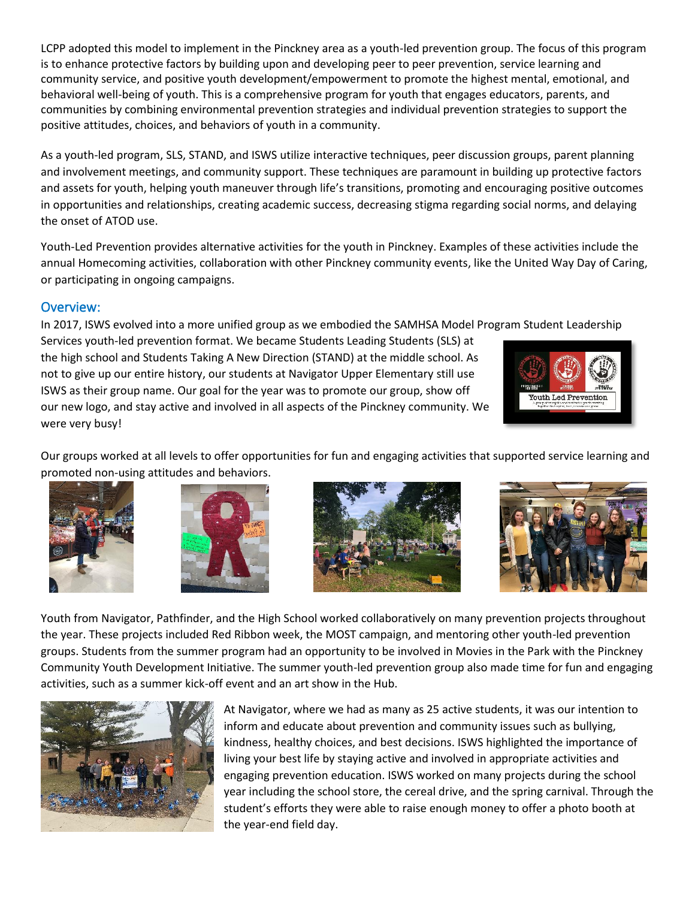LCPP adopted this model to implement in the Pinckney area as a youth-led prevention group. The focus of this program is to enhance protective factors by building upon and developing peer to peer prevention, service learning and community service, and positive youth development/empowerment to promote the highest mental, emotional, and behavioral well-being of youth. This is a comprehensive program for youth that engages educators, parents, and communities by combining environmental prevention strategies and individual prevention strategies to support the positive attitudes, choices, and behaviors of youth in a community.

As a youth-led program, SLS, STAND, and ISWS utilize interactive techniques, peer discussion groups, parent planning and involvement meetings, and community support. These techniques are paramount in building up protective factors and assets for youth, helping youth maneuver through life's transitions, promoting and encouraging positive outcomes in opportunities and relationships, creating academic success, decreasing stigma regarding social norms, and delaying the onset of ATOD use.

Youth-Led Prevention provides alternative activities for the youth in Pinckney. Examples of these activities include the annual Homecoming activities, collaboration with other Pinckney community events, like the United Way Day of Caring, or participating in ongoing campaigns.

### Overview:

In 2017, ISWS evolved into a more unified group as we embodied the SAMHSA Model Program Student Leadership

Services youth-led prevention format. We became Students Leading Students (SLS) at the high school and Students Taking A New Direction (STAND) at the middle school. As not to give up our entire history, our students at Navigator Upper Elementary still use ISWS as their group name. Our goal for the year was to promote our group, show off our new logo, and stay active and involved in all aspects of the Pinckney community. We were very busy!



Our groups worked at all levels to offer opportunities for fun and engaging activities that supported service learning and promoted non-using attitudes and behaviors.









Youth from Navigator, Pathfinder, and the High School worked collaboratively on many prevention projects throughout the year. These projects included Red Ribbon week, the MOST campaign, and mentoring other youth-led prevention groups. Students from the summer program had an opportunity to be involved in Movies in the Park with the Pinckney Community Youth Development Initiative. The summer youth-led prevention group also made time for fun and engaging activities, such as a summer kick-off event and an art show in the Hub.



At Navigator, where we had as many as 25 active students, it was our intention to inform and educate about prevention and community issues such as bullying, kindness, healthy choices, and best decisions. ISWS highlighted the importance of living your best life by staying active and involved in appropriate activities and engaging prevention education. ISWS worked on many projects during the school year including the school store, the cereal drive, and the spring carnival. Through the student's efforts they were able to raise enough money to offer a photo booth at the year-end field day.